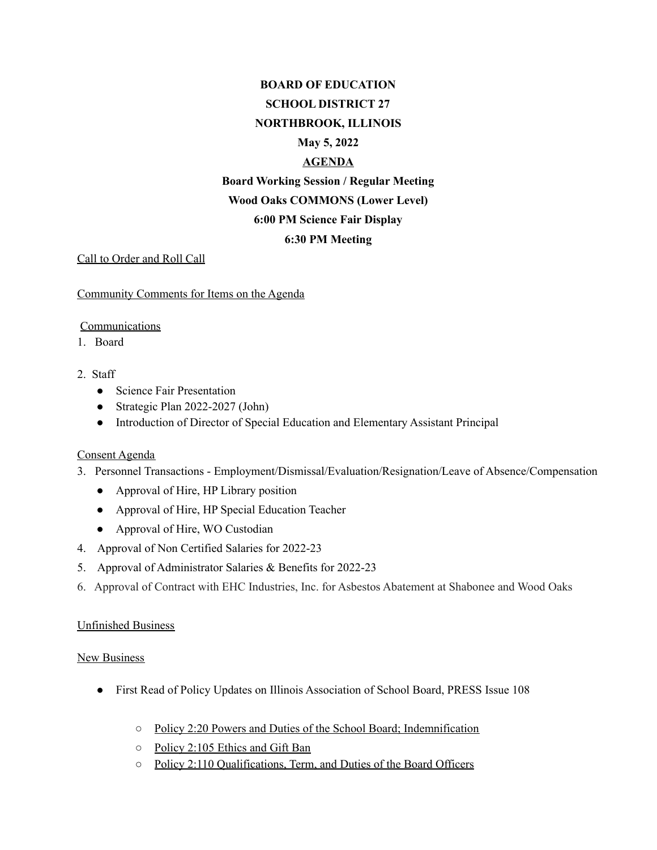# **BOARD OF EDUCATION SCHOOL DISTRICT 27 NORTHBROOK, ILLINOIS May 5, 2022 AGENDA Board Working Session / Regular Meeting Wood Oaks COMMONS (Lower Level) 6:00 PM Science Fair Display 6:30 PM Meeting**

Call to Order and Roll Call

Community Comments for Items on the Agenda

#### Communications

1. Board

## 2. Staff

- Science Fair Presentation
- Strategic Plan 2022-2027 (John)
- Introduction of Director of Special Education and Elementary Assistant Principal

## Consent Agenda

- 3. Personnel Transactions Employment/Dismissal/Evaluation/Resignation/Leave of Absence/Compensation
	- Approval of Hire, HP Library position
	- Approval of Hire, HP Special Education Teacher
	- Approval of Hire, WO Custodian
- 4. Approval of Non Certified Salaries for 2022-23
- 5. Approval of Administrator Salaries & Benefits for 2022-23
- 6. Approval of Contract with EHC Industries, Inc. for Asbestos Abatement at Shabonee and Wood Oaks

## Unfinished Business

#### **New Business**

- First Read of Policy Updates on Illinois Association of School Board, PRESS Issue 108
	- Policy 2:20 Powers and Duties of the School Board; Indemnification
	- Policy 2:105 Ethics and Gift Ban
	- Policy 2:110 Qualifications, Term, and Duties of the Board Officers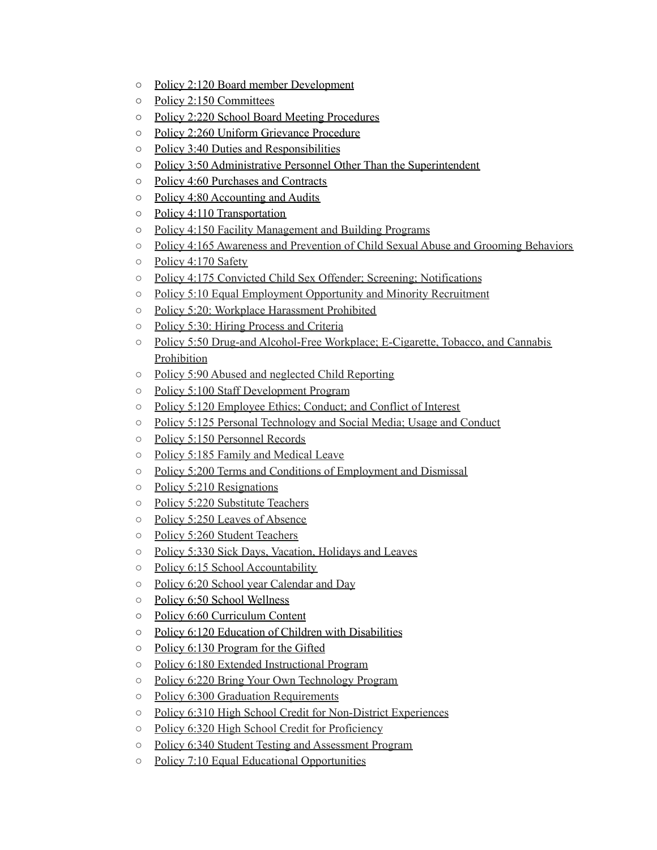- Policy 2:120 Board member Development
- Policy 2:150 Committees
- Policy 2:220 School Board Meeting Procedures
- Policy 2:260 Uniform Grievance Procedure
- Policy 3:40 Duties and Responsibilities
- Policy 3:50 Administrative Personnel Other Than the Superintendent
- Policy 4:60 Purchases and Contracts
- Policy 4:80 Accounting and Audits
- Policy 4:110 Transportation
- Policy 4:150 Facility Management and Building Programs
- Policy 4:165 Awareness and Prevention of Child Sexual Abuse and Grooming Behaviors
- Policy 4:170 Safety
- Policy 4:175 Convicted Child Sex Offender; Screening; Notifications
- Policy 5:10 Equal Employment Opportunity and Minority Recruitment
- Policy 5:20: Workplace Harassment Prohibited
- Policy 5:30: Hiring Process and Criteria
- Policy 5:50 Drug-and Alcohol-Free Workplace; E-Cigarette, Tobacco, and Cannabis Prohibition
- Policy 5:90 Abused and neglected Child Reporting
- Policy 5:100 Staff Development Program
- Policy 5:120 Employee Ethics; Conduct; and Conflict of Interest
- Policy 5:125 Personal Technology and Social Media; Usage and Conduct
- Policy 5:150 Personnel Records
- Policy 5:185 Family and Medical Leave
- Policy 5:200 Terms and Conditions of Employment and Dismissal
- Policy 5:210 Resignations
- Policy 5:220 Substitute Teachers
- Policy 5:250 Leaves of Absence
- Policy 5:260 Student Teachers
- Policy 5:330 Sick Days, Vacation, Holidays and Leaves
- Policy 6:15 School Accountability
- Policy 6:20 School year Calendar and Day
- Policy 6:50 School Wellness
- Policy 6:60 Curriculum Content
- Policy 6:120 Education of Children with Disabilities
- Policy 6:130 Program for the Gifted
- Policy 6:180 Extended Instructional Program
- Policy 6:220 Bring Your Own Technology Program
- Policy 6:300 Graduation Requirements
- Policy 6:310 High School Credit for Non-District Experiences
- Policy 6:320 High School Credit for Proficiency
- Policy 6:340 Student Testing and Assessment Program
- Policy 7:10 Equal Educational Opportunities